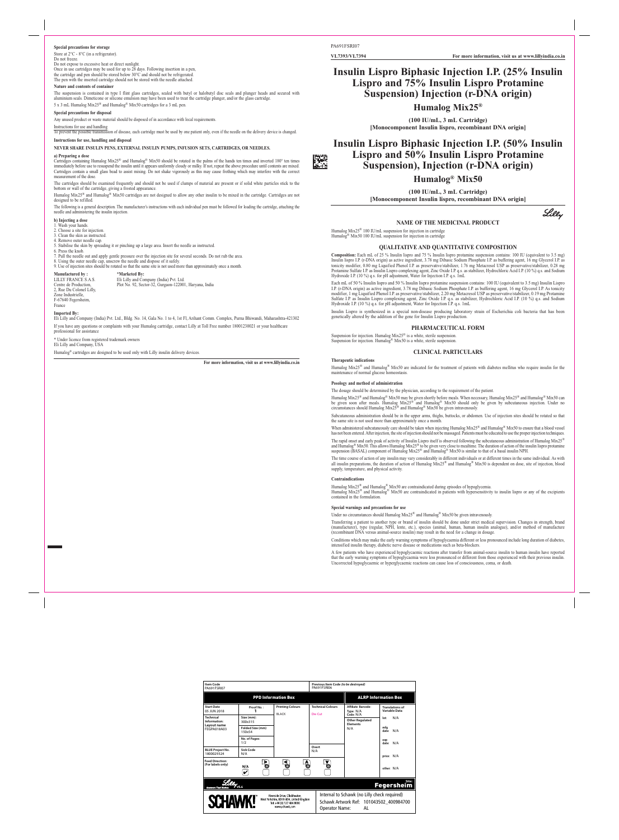#### **NAME OF THE MEDICINAL PRODUCT**

Humalog Mix25® 100 IU/mL suspension for injection in cartridge Humalog<sup>®</sup> Mix50 100 IU/mL suspension for injection in cartridge

#### **QUALITATIVE AND QUANTITATIVE COMPOSITION**

**Composition:** Each mL of 25 % Insulin lispro and 75 % Insulin lispro protamine suspension contains: 100 IU (equivalent to 3.5 mg) Insulin lispro I.P. (r-DNA origin) as active ingredient, 3.78 mg Dibasic Sodium Phosphate I.P. as buffering agent, 16 mg Glycerol I.P. as tonicity modifier, 0.80 mg Liquified Phenol I.P. as preservative/stabilizer, 1.76 mg Metacresol USP as preservative/stabilizer, 0.28 mg Protamine Sulfate I.P. as Insulin Lispro complexing agent, Zinc Oxide I.P. q.s. as stabilizer, Hydrochloric Acid I.P. (10 %) q.s. and Sodium Hydroxide I.P. (10 %) q.s. for pH adjustment, Water for Injection I.P. q.s. 1mL

Suspension for injection. Humalog  $Mix25^{\circledR}$  is a white, sterile suspension. Suspension for injection. Humalog® Mix50 is a white, sterile suspension.

Humalog Mix25® and Humalog® Mix50 may be given shortly before meals. When necessary, Humalog Mix25® and Humalog® Mix50 can be given soon after meals. Humalog Mix25® and Humalog® Mix50 should only be given by subcutaneous injection. Under no circumstances should Humalog Mix25<sup>®</sup> and Humalog<sup>®</sup> Mix50 be given intravenously.

Each mL of 50 % Insulin lispro and 50 % Insulin lispro protamine suspension contains: 100 IU (equivalent to 3.5 mg) Insulin Lispro I.P. (r-DNA origin) as active ingredient, 3.78 mg Dibasic Sodium Phosphate I.P. as buffering agent, 16 mg Glycerol I.P. As tonicity modifier, 1 mg Liquified Phenol I.P. as preservative/stabilizer, 2.20 mg Metacresol USP as preservative/stabilizer, 0.19 mg Protamine Sulfate I.P. as Insulin Lispro complexing agent, Zinc Oxide I.P. q.s. as stabilizer, Hydrochloric Acid I.P. (10 %) q.s. and Sodium Hydroxide I.P. (10 %) q.s. for pH adjustment, Water for Injection I.P. q.s. 1mL

Subcutaneous administration should be in the upper arms, thighs, buttocks, or abdomen. Use of injection sites should be rotated so that the same site is not used more than approximately once a month

When administered subcutaneously care should be taken when injecting Humalog Mix25<sup>®</sup> and Humalog® Mix50 to ensure that a blood vessel has not been entered. After injection, the site of injection should not be massaged. Patients must be educated to use the proper injection techniques.

Insulin Lispro is synthesized in a special non-disease producing laboratory strain of Escherichia coli bacteria that has been genetically altered by the addition of the gene for Insulin Lispro production.

#### **PHARMACEUTICAL FORM**

The rapid onset and early peak of activity of Insulin Lispro itself is observed following the subcutaneous administration of Humalog Mix25<sup>®</sup> and Humalog® Mix50. This allows Humalog Mix25<sup>®</sup> to be given very close to mealtime. The duration of action of the insulin lispro protamine suspension (BASAL) component of Humalog Mix25® and Humalog® Mix50 is similar to that of a basal insulin NPH.

# **CLINICAL PARTICULARS**

### **Therapeutic indications**

Humalog Mix25® and Humalog® Mix50 are indicated for the treatment of patients with diabetes mellitus who require insulin for the maintenance of normal glucose homeostasis.

#### **Posology and method of administration**

The dosage should be determined by the physician, according to the requirement of the patient.

Store at  $2^{\circ}$ C -  $8^{\circ}$ C (in a refrigerator). Do not freeze. Do not expose to excessive heat or direct sunlight. Once in use cartridges may be used for up to 28 days. Following insertion in a pen, the cartridge and pen should be stored below 30°C and should not be refrigerated. The pen with the inserted cartridge should not be stored with the needle attached.

Cartridges containing Humalog Mix25<sup>®</sup> and Humalog<sup>®</sup> Mix50 should be rotated in the palms of the hands ten times and inverted 180° ten times immediately before use to resuspend the insulin until it appears uniformly cloudy or milky. If not, repeat the above procedure until contents are mixed. Cartridges contain a small glass bead to assist mixing. Do not shake vigorously as this may cause frothing which may interfere with the correct measurement of the dose.

> The time course of action of any insulin may vary considerably in different individuals or at different times in the same individual. As with all insulin preparations, the duration of action of Humalog Mix25® and Humalog® Mix50 is dependent on dose, site of injection, blood supply, temperature, and physical activity.

#### **Contraindications**

Humalog Mix25® and Humalog® Mix50 are contraindicated during episodes of hypoglycemia.

Humalog Mix25® and Humalog® Mix50 are contraindicated in patients with hypersensitivity to insulin lispro or any of the excipients contained in the formulation.

LILLY FRANCE S.A.S. Eli Lilly and Company (India) Pvt. Ltd. Plot No. 92, Sector-32, Gurgaon-122001, Haryana, India

#### **Special warnings and precautions for use**

Under no circumstances should Humalog Mix25<sup>®</sup> and Humalog<sup>®</sup> Mix50 be given intravenously.

# **Manufactured by :** \***Marketed By:**<br>LILLY FRANCE S.A.S. Eli Lilly and Co 2, Rue Du Colonel Lilly, Zone Industrielle,

\* Under licence from registered trademark owners Eli Lilly and Company, USA

Transferring a patient to another type or brand of insulin should be done under strict medical supervision. Changes in strength, brand (manufacturer), type (regular, NPH, lente, etc.), species (animal, human, human insulin analogue), and/or method of manufacture (recombinant DNA versus animal-source insulin) may result in the need for a change in dosage.

Conditions which may make the early warning symptoms of hypoglycaemia different or less pronounced include long duration of diabetes, intensified insulin therapy, diabetic nerve disease or medications such as beta-blockers.

A few patients who have experienced hypoglycaemic reactions after transfer from animal-source insulin to human insulin have reported that the early warning symptoms of hypoglycaemia were less pronounced or different from those experienced with their previous insulin.

Uncorrected hypoglycaemic or hyperglycaemic reactions can cause loss of consciousness, coma, or death.

# **Special precautions for storage**

#### **Nature and contents of container**

The suspension is contained in type I flint glass cartridges, sealed with butyl or halobutyl disc seals and plunger heads and secured with aluminium seals. Dimeticone or silicone emulsion may have been used to treat the cartridge plunger, and/or the glass cartridge. 5 x 3 mL Humalog Mix25® and Humalog® Mix50 cartridges for a 3 mL pen.

#### **Special precautions for disposal**

Any unused product or waste material should be disposed of in accordance with local requirements.

# Instructions for use and handling<br>To prevent the possible transmissi

ion of disease, each cartridge must be used by one patient only, even if the needle on the delivery device is changed.

# **Instructions for use, handling and disposal**

## **NEVER SHARE INSULIN PENS, EXTERNAL INSULIN PUMPS, INFUSION SETS, CARTRIDGES, OR NEEDLES.**

**a) Preparing a dose**

The cartridges should be examined frequently and should not be used if clumps of material are present or if solid white particles stick to the bottom or wall of the cartridge, giving a frosted appearance.

Humalog Mix25® and Humalog® Mix50 cartridges are not designed to allow any other insulin to be mixed in the cartridge. Cartridges are not designed to be refilled.

The following is a general description. The manufacturer's instructions with each individual pen must be followed for loading the cartridge, attaching the needle and administering the insulin injection.

#### **b) Injecting a dose**

1. Wash your hands.

- 2. Choose a site for injection. 3. Clean the skin as instructed.
- 4. Remove outer needle cap.
- 5. Stabilise the skin by spreading it or pinching up a large area. Insert the needle as instructed.
- 6. Press the knob.
- 7. Pull the needle out and apply gentle pressure over the injection site for several seconds. Do not rub the area.
- 8. Using the outer needle cap, unscrew the needle and dispose of it safely.

9. Use of injection sites should be rotated so that the same site is not used more than approximately once a month.

F-67640 Fegersheim, France

**Imported By:**



Eli Lilly and Company (India) Pvt. Ltd., Bldg. No. 14, Gala No. 1 to 4, 1st Fl, Arihant Comm. Complex, Purna Bhiwandi, Maharashtra-421302 If you have any questions or complaints with your Humalog cartridge, contact Lilly at Toll Free number 18001230021 or your healthcare professional for assistance

Humalog® cartridges are designed to be used only with Lilly insulin delivery devices.

**For more information, visit us at www.lillyindia.co.in**

PA691FSRI07

蹊

**VL7393/VL7394 For more information, visit us at www.lillyindia.co.in**

# **Insulin Lispro Biphasic Injection I.P. (25% Insulin Lispro and 75% Insulin Lispro Protamine Suspension) Injection (r-DNA origin)**

# **Humalog Mix25®**

**(100 IU/mL, 3 mL Cartridge) [Monocomponent Insulin lispro, recombinant DNA origin]**

# **Insulin Lispro Biphasic Injection I.P. (50% Insulin Lispro and 50% Insulin Lispro Protamine Suspension), Injection (r-DNA origin)**

# **Humalog® Mix50**

**(100 IU/mL, 3 mL Cartridge) [Monocomponent Insulin lispro, recombinant DNA origin]**



| <b>Item Code</b><br>PA691FSRI07                                                                                                            |                            |                                         | Previous Item Code (to be destroyed)<br>PA691FSRI06 |                                                                                                                 |                                         |  |  |
|--------------------------------------------------------------------------------------------------------------------------------------------|----------------------------|-----------------------------------------|-----------------------------------------------------|-----------------------------------------------------------------------------------------------------------------|-----------------------------------------|--|--|
|                                                                                                                                            |                            | <b>PPD Information Box</b>              |                                                     | <b>ALRP Information Box</b>                                                                                     |                                         |  |  |
| <b>Start Date</b><br>05 JUN 2018                                                                                                           | Proof No.:                 | <b>Printing Colours</b><br><b>BLACK</b> | <b>Technical Colours</b><br>Die Cut                 | <b>Affiliate Barcode:</b><br>Type: N/A<br>Code: N/A                                                             | <b>Translations of</b><br>Variable Data |  |  |
| <b>Technical</b><br>Information:<br>Layout name<br>FEGPA018A03                                                                             | Size (mm):<br>300x315      |                                         |                                                     | <b>Other Regulated</b><br><b>Elements</b><br>N/A                                                                | N/A<br>lot:                             |  |  |
|                                                                                                                                            | Folded Size (mm)<br>150x54 |                                         |                                                     |                                                                                                                 | mfq<br>N/A<br>date:                     |  |  |
|                                                                                                                                            | No. of Pages:<br>1/2       |                                         |                                                     |                                                                                                                 | exp<br>N/A<br>date:                     |  |  |
| <b>BLUE Project No.</b><br>1800029324                                                                                                      | Sick Code<br>N/A           |                                         | Overt<br>N/A                                        |                                                                                                                 | price: N/A                              |  |  |
| <b>Feed Direction:</b><br>(For labels only)                                                                                                | $\overline{6}$<br>N/A<br>V | $\mathbf{A}$<br>⋖<br>O                  | A                                                   |                                                                                                                 | other: N/A                              |  |  |
| Site:<br><b>Fegersheim</b><br>v5.4<br><b>Answers That Matter</b>                                                                           |                            |                                         |                                                     |                                                                                                                 |                                         |  |  |
| Riverside Drive, Cleckheaton,<br><b>SCHAWK!</b><br>West Yorkshire, BD19 4DH, United Kingdom<br>Tel: +44 (0) 127 484 8000<br>www.schawk.com |                            |                                         |                                                     | Internal to Schawk (no Lilly check required)<br>Schawk Artwork Ref: 101043502 400984700<br>Operator Name:<br>AL |                                         |  |  |